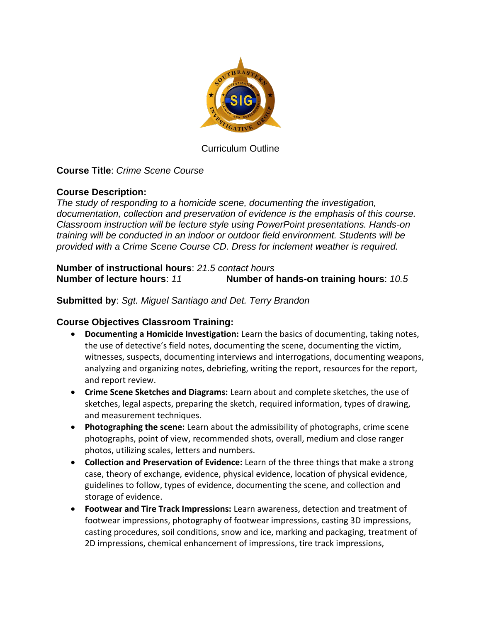

Curriculum Outline

# **Course Title**: *Crime Scene Course*

## **Course Description:**

*The study of responding to a homicide scene, documenting the investigation, documentation, collection and preservation of evidence is the emphasis of this course. Classroom instruction will be lecture style using PowerPoint presentations. Hands-on training will be conducted in an indoor or outdoor field environment. Students will be provided with a Crime Scene Course CD. Dress for inclement weather is required.*

**Number of instructional hours**: *21.5 contact hours* **Number of lecture hours**: *11* **Number of hands-on training hours**: *10.5*

## **Submitted by**: *Sgt. Miguel Santiago and Det. Terry Brandon*

## **Course Objectives Classroom Training:**

- **Documenting a Homicide Investigation:** Learn the basics of documenting, taking notes, the use of detective's field notes, documenting the scene, documenting the victim, witnesses, suspects, documenting interviews and interrogations, documenting weapons, analyzing and organizing notes, debriefing, writing the report, resources for the report, and report review.
- **Crime Scene Sketches and Diagrams:** Learn about and complete sketches, the use of sketches, legal aspects, preparing the sketch, required information, types of drawing, and measurement techniques.
- **Photographing the scene:** Learn about the admissibility of photographs, crime scene photographs, point of view, recommended shots, overall, medium and close ranger photos, utilizing scales, letters and numbers.
- **Collection and Preservation of Evidence:** Learn of the three things that make a strong case, theory of exchange, evidence, physical evidence, location of physical evidence, guidelines to follow, types of evidence, documenting the scene, and collection and storage of evidence.
- **Footwear and Tire Track Impressions:** Learn awareness, detection and treatment of footwear impressions, photography of footwear impressions, casting 3D impressions, casting procedures, soil conditions, snow and ice, marking and packaging, treatment of 2D impressions, chemical enhancement of impressions, tire track impressions,